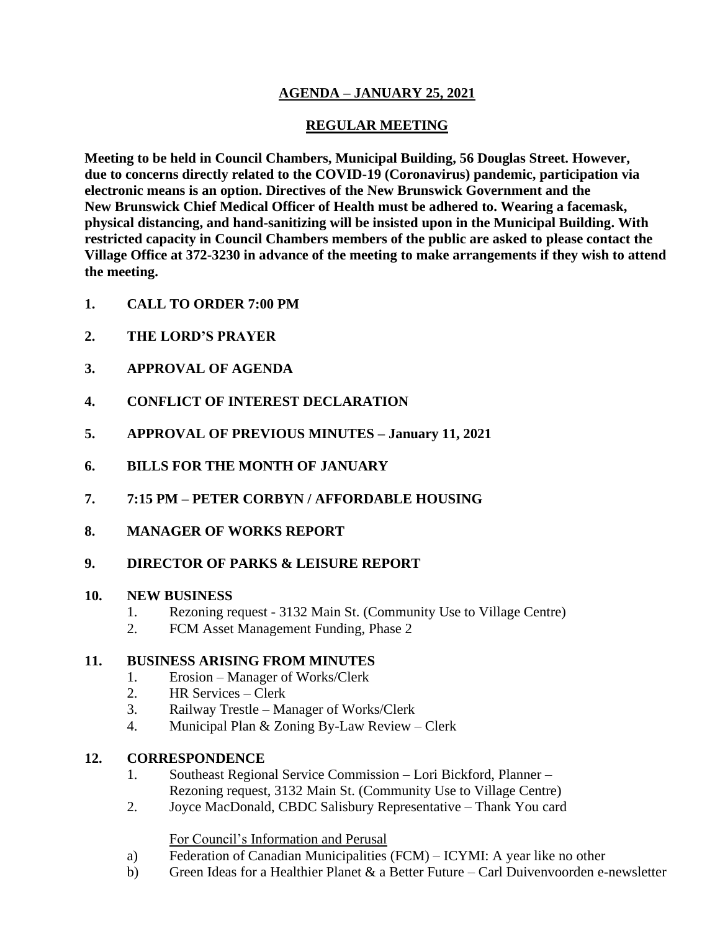# **AGENDA – JANUARY 25, 2021**

# **REGULAR MEETING**

**Meeting to be held in Council Chambers, Municipal Building, 56 Douglas Street. However, due to concerns directly related to the COVID-19 (Coronavirus) pandemic, participation via electronic means is an option. Directives of the New Brunswick Government and the New Brunswick Chief Medical Officer of Health must be adhered to. Wearing a facemask, physical distancing, and hand-sanitizing will be insisted upon in the Municipal Building. With restricted capacity in Council Chambers members of the public are asked to please contact the Village Office at 372-3230 in advance of the meeting to make arrangements if they wish to attend the meeting.**

- **1. CALL TO ORDER 7:00 PM**
- **2. THE LORD'S PRAYER**
- **3. APPROVAL OF AGENDA**
- **4. CONFLICT OF INTEREST DECLARATION**
- **5. APPROVAL OF PREVIOUS MINUTES – January 11, 2021**
- **6. BILLS FOR THE MONTH OF JANUARY**
- **7. 7:15 PM – PETER CORBYN / AFFORDABLE HOUSING**
- **8. MANAGER OF WORKS REPORT**

## **9. DIRECTOR OF PARKS & LEISURE REPORT**

#### **10. NEW BUSINESS**

- 1. Rezoning request 3132 Main St. (Community Use to Village Centre)
- 2. FCM Asset Management Funding, Phase 2

## **11. BUSINESS ARISING FROM MINUTES**

- 1. Erosion Manager of Works/Clerk
- 2. HR Services Clerk
- 3. Railway Trestle Manager of Works/Clerk
- 4. Municipal Plan & Zoning By-Law Review Clerk

## **12. CORRESPONDENCE**

- 1. Southeast Regional Service Commission Lori Bickford, Planner Rezoning request, 3132 Main St. (Community Use to Village Centre)
- 2. Joyce MacDonald, CBDC Salisbury Representative Thank You card

#### For Council's Information and Perusal

- a) Federation of Canadian Municipalities (FCM) ICYMI: A year like no other
- b) Green Ideas for a Healthier Planet & a Better Future Carl Duivenvoorden e-newsletter